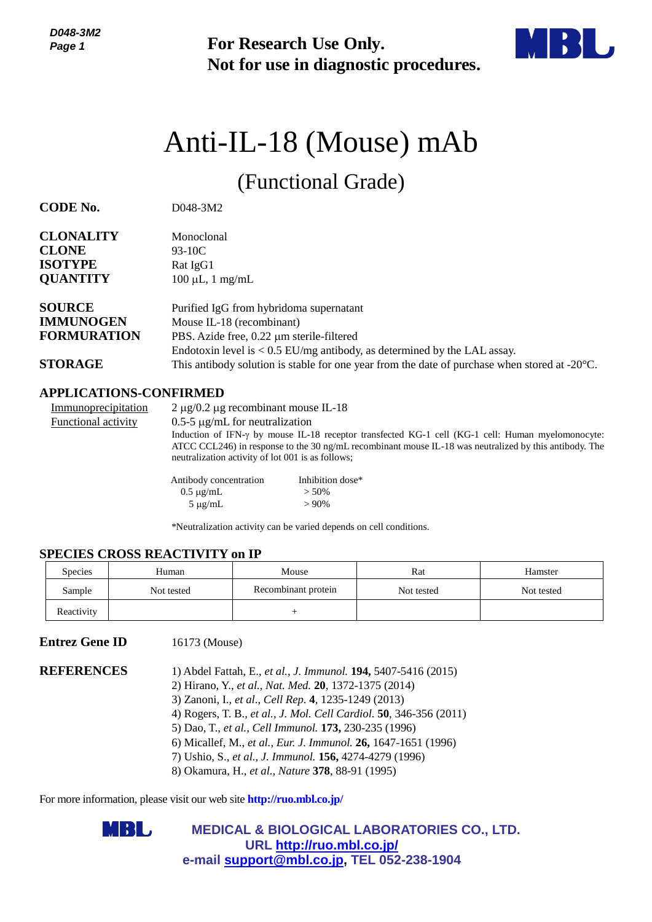

# Anti-IL-18 (Mouse) mAb

| Page 1                                                                    |                                                                                           | <b>For Research Use Only.</b><br>Not for use in diagnostic procedures.                                                                                                                                                                                                                                                                                                                                                                                                                          |            |                                                                                                                                                                                                                    |
|---------------------------------------------------------------------------|-------------------------------------------------------------------------------------------|-------------------------------------------------------------------------------------------------------------------------------------------------------------------------------------------------------------------------------------------------------------------------------------------------------------------------------------------------------------------------------------------------------------------------------------------------------------------------------------------------|------------|--------------------------------------------------------------------------------------------------------------------------------------------------------------------------------------------------------------------|
|                                                                           |                                                                                           | Anti-IL-18 (Mouse) mAb                                                                                                                                                                                                                                                                                                                                                                                                                                                                          |            |                                                                                                                                                                                                                    |
|                                                                           |                                                                                           | (Functional Grade)                                                                                                                                                                                                                                                                                                                                                                                                                                                                              |            |                                                                                                                                                                                                                    |
| <b>CODE No.</b>                                                           | D048-3M2                                                                                  |                                                                                                                                                                                                                                                                                                                                                                                                                                                                                                 |            |                                                                                                                                                                                                                    |
| <b>CLONALITY</b><br><b>CLONE</b><br><b>ISOTYPE</b><br><b>QUANTITY</b>     | Monoclonal<br>93-10C<br>Rat IgG1<br>$100 \mu L$ , 1 mg/mL                                 |                                                                                                                                                                                                                                                                                                                                                                                                                                                                                                 |            |                                                                                                                                                                                                                    |
| <b>SOURCE</b><br><b>IMMUNOGEN</b><br><b>FORMURATION</b><br><b>STORAGE</b> |                                                                                           | Purified IgG from hybridoma supernatant<br>Mouse IL-18 (recombinant)<br>PBS. Azide free, 0.22 µm sterile-filtered<br>Endotoxin level is $< 0.5$ EU/mg antibody, as determined by the LAL assay.<br>This antibody solution is stable for one year from the date of purchase when stored at $-20^{\circ}$ C.                                                                                                                                                                                      |            |                                                                                                                                                                                                                    |
| Immunoprecipitation<br><b>Functional activity</b>                         | <b>APPLICATIONS-CONFIRMED</b><br>Antibody concentration<br>$0.5 \mu g/mL$<br>$5 \mu g/mL$ | $2 \mu g/0.2 \mu g$ recombinant mouse IL-18<br>$0.5$ -5 µg/mL for neutralization<br>neutralization activity of lot 001 is as follows;<br>Inhibition dose*<br>$> 50\%$<br>$> 90\%$                                                                                                                                                                                                                                                                                                               |            | Induction of IFN- $\gamma$ by mouse IL-18 receptor transfected KG-1 cell (KG-1 cell: Human myelomonocyte<br>ATCC CCL246) in response to the 30 ng/mL recombinant mouse IL-18 was neutralized by this antibody. The |
|                                                                           | <b>SPECIES CROSS REACTIVITY on IP</b>                                                     | *Neutralization activity can be varied depends on cell conditions.                                                                                                                                                                                                                                                                                                                                                                                                                              |            |                                                                                                                                                                                                                    |
| <b>Species</b>                                                            | Human                                                                                     | Mouse                                                                                                                                                                                                                                                                                                                                                                                                                                                                                           | Rat        | Hamster                                                                                                                                                                                                            |
| Sample                                                                    | Not tested                                                                                | Recombinant protein                                                                                                                                                                                                                                                                                                                                                                                                                                                                             | Not tested | Not tested                                                                                                                                                                                                         |
| Reactivity                                                                |                                                                                           | $^{+}$                                                                                                                                                                                                                                                                                                                                                                                                                                                                                          |            |                                                                                                                                                                                                                    |
| <b>Entrez Gene ID</b>                                                     | 16173 (Mouse)                                                                             |                                                                                                                                                                                                                                                                                                                                                                                                                                                                                                 |            |                                                                                                                                                                                                                    |
| <b>REFERENCES</b>                                                         |                                                                                           | 1) Abdel Fattah, E., et al., J. Immunol. 194, 5407-5416 (2015)<br>2) Hirano, Y., et al., Nat. Med. 20, 1372-1375 (2014)<br>3) Zanoni, I., et al., Cell Rep. 4, 1235-1249 (2013)<br>4) Rogers, T. B., et al., J. Mol. Cell Cardiol. 50, 346-356 (2011)<br>5) Dao, T., et al., Cell Immunol. 173, 230-235 (1996)<br>6) Micallef, M., et al., Eur. J. Immunol. 26, 1647-1651 (1996)<br>7) Ushio, S., et al., J. Immunol. 156, 4274-4279 (1996)<br>8) Okamura, H., et al., Nature 378, 88-91 (1995) |            |                                                                                                                                                                                                                    |
|                                                                           | For more information, please visit our web site <b>http://ruo.mbl.co.jp/</b>              |                                                                                                                                                                                                                                                                                                                                                                                                                                                                                                 |            |                                                                                                                                                                                                                    |
|                                                                           | IR I L                                                                                    | <b>MEDICAL &amp; BIOLOGICAL LABORATORIES CO., LTD.</b><br>URL http://ruo.mbl.co.jp/<br>e-mail support@mbl.co.jp, TEL 052-238-1904                                                                                                                                                                                                                                                                                                                                                               |            |                                                                                                                                                                                                                    |

# **APPLICATIONS-CONFIRMED**

| Immunoprecipitation | $2 \mu g/0.2 \mu g$ recombinant mouse IL-18       |                                                                                                           |
|---------------------|---------------------------------------------------|-----------------------------------------------------------------------------------------------------------|
| Functional activity | $0.5-5 \mu$ g/mL for neutralization               |                                                                                                           |
|                     |                                                   | Induction of IFN- $\gamma$ by mouse IL-18 receptor transfected KG-1 cell (KG-1 cell: Human myelomonocyte: |
|                     | neutralization activity of lot 001 is as follows; | ATCC CCL246) in response to the 30 ng/mL recombinant mouse IL-18 was neutralized by this antibody. The    |
|                     | Antibody concentration                            | Inhibition dose*                                                                                          |
|                     | $0.5 \mu$ g/mL                                    | $> 50\%$                                                                                                  |

## **SPECIES CROSS REACTIVITY on IP**

| Species    | Human      | Mouse               | Rat        | Hamster    |
|------------|------------|---------------------|------------|------------|
| Sample     | Not tested | Recombinant protein | Not tested | Not tested |
| Reactivity |            |                     |            |            |

## **Entrez Gene ID** 16173 (Mouse)

| <b>REFERENCES</b> | 1) Abdel Fattah, E., <i>et al., J. Immunol</i> . <b>194,</b> 5407-5416 (2015)      |
|-------------------|------------------------------------------------------------------------------------|
|                   | 2) Hirano, Y., et al., Nat. Med. 20, 1372-1375 (2014)                              |
|                   | 3) Zanoni, I., et al., Cell Rep. 4, 1235-1249 (2013)                               |
|                   | 4) Rogers, T. B., <i>et al., J. Mol. Cell Cardiol</i> . <b>50</b> , 346-356 (2011) |
|                   | 5) Dao, T., et al., Cell Immunol. 173, 230-235 (1996)                              |
|                   | 6) Micallef, M., et al., Eur. J. Immunol. 26, 1647-1651 (1996)                     |
|                   | 7) Ushio, S., et al., J. Immunol. <b>156,</b> 4274-4279 (1996)                     |
|                   | 8) Okamura, H., et al., Nature 378, 88-91 (1995)                                   |

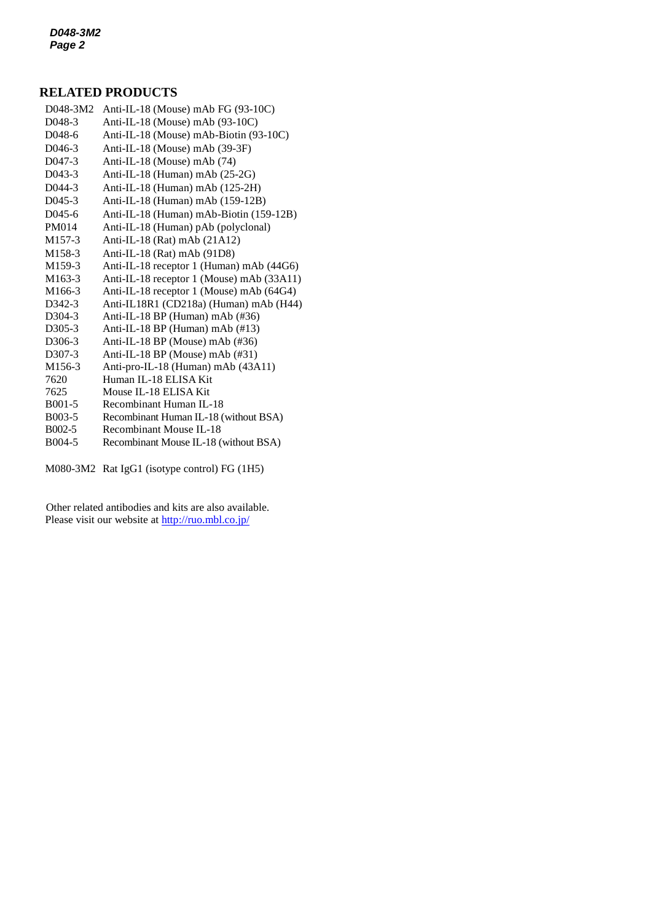# **RELATED PRODUCTS**

|                     | D048-3M2 Anti-IL-18 (Mouse) mAb FG (93-10C) |
|---------------------|---------------------------------------------|
| D <sub>048</sub> -3 | Anti-IL-18 (Mouse) mAb (93-10C)             |
| D <sub>048</sub> -6 | Anti-IL-18 (Mouse) mAb-Biotin (93-10C)      |
| D046-3              | Anti-IL-18 (Mouse) mAb (39-3F)              |
| $D047-3$            | Anti-IL-18 (Mouse) mAb (74)                 |
| $D043-3$            | Anti-IL-18 (Human) mAb (25-2G)              |
| $D$ 044-3           | Anti-IL-18 (Human) mAb (125-2H)             |
| $D045-3$            | Anti-IL-18 (Human) mAb (159-12B)            |
| $D045-6$            | Anti-IL-18 (Human) mAb-Biotin (159-12B)     |
| <b>PM014</b>        | Anti-IL-18 (Human) pAb (polyclonal)         |
| M <sub>157-3</sub>  | Anti-IL-18 (Rat) mAb (21A12)                |
| M158-3              | Anti-IL-18 (Rat) mAb (91D8)                 |
| M159-3              | Anti-IL-18 receptor 1 (Human) mAb (44G6)    |
| M <sub>163-3</sub>  | Anti-IL-18 receptor 1 (Mouse) mAb (33A11)   |
| M <sub>166-3</sub>  | Anti-IL-18 receptor 1 (Mouse) mAb (64G4)    |
| D <sub>342</sub> -3 | Anti-IL18R1 (CD218a) (Human) mAb (H44)      |
| D <sub>3</sub> 04-3 | Anti-IL-18 BP (Human) mAb (#36)             |
| D <sub>3</sub> 05-3 | Anti-IL-18 BP (Human) mAb (#13)             |
| D <sub>3</sub> 06-3 | Anti-IL-18 BP (Mouse) mAb (#36)             |
| D <sub>3</sub> 07-3 | Anti-IL-18 BP (Mouse) mAb (#31)             |
| M <sub>156</sub> -3 | Anti-pro-IL-18 (Human) mAb (43A11)          |
| 7620                | Human IL-18 ELISA Kit                       |
| 7625                | Mouse IL-18 ELISA Kit                       |
| B001-5              | Recombinant Human IL-18                     |
| <b>B003-5</b>       | Recombinant Human IL-18 (without BSA)       |
| $B002-5$            | Recombinant Mouse II -18                    |
| B <sub>004</sub> -5 | Recombinant Mouse IL-18 (without BSA)       |
|                     |                                             |

M080-3M2 [Rat IgG1 \(isotype control\) FG \(1H5\)](http://ruo.mbl.co.jp/dtl/A/M080-3M2/)

Other related antibodies and kits are also available. Please visit our website at<http://ruo.mbl.co.jp/>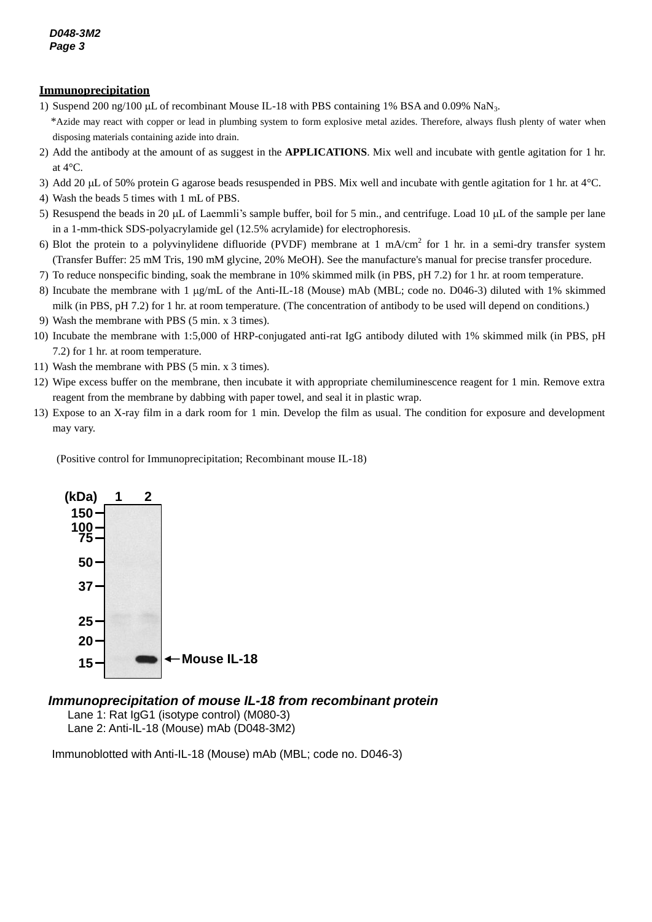#### **Immunoprecipitation**

1) Suspend 200 ng/100 µL of recombinant Mouse IL-18 with PBS containing 1% BSA and 0.09% NaN<sub>3</sub>.

*2* \*Azide may react with copper or lead in plumbing system to form explosive metal azides. Therefore, always flush plenty of water when disposing materials containing azide into drain.

- 2) Add the antibody at the amount of as suggest in the **APPLICATIONS**. Mix well and incubate with gentle agitation for 1 hr. at 4°C.
- 3) Add 20  $\mu$ L of 50% protein G agarose beads resuspended in PBS. Mix well and incubate with gentle agitation for 1 hr. at 4°C.
- 4) Wash the beads 5 times with 1 mL of PBS.
- 5) Resuspend the beads in 20  $\mu$ L of Laemmli's sample buffer, boil for 5 min., and centrifuge. Load 10  $\mu$ L of the sample per lane in a 1-mm-thick SDS-polyacrylamide gel (12.5% acrylamide) for electrophoresis.
- 6) Blot the protein to a polyvinylidene difluoride (PVDF) membrane at 1 mA/cm<sup>2</sup> for 1 hr. in a semi-dry transfer system (Transfer Buffer: 25 mM Tris, 190 mM glycine, 20% MeOH). See the manufacture's manual for precise transfer procedure.
- 7) To reduce nonspecific binding, soak the membrane in 10% skimmed milk (in PBS, pH 7.2) for 1 hr. at room temperature.
- 8) Incubate the membrane with 1 g/mL of the Anti-IL-18 (Mouse) mAb (MBL; code no. D046-3) diluted with 1% skimmed milk (in PBS, pH 7.2) for 1 hr. at room temperature. (The concentration of antibody to be used will depend on conditions.)
- 9) Wash the membrane with PBS (5 min. x 3 times).
- 10) Incubate the membrane with 1:5,000 of HRP-conjugated anti-rat IgG antibody diluted with 1% skimmed milk (in PBS, pH 7.2) for 1 hr. at room temperature.
- 11) Wash the membrane with PBS (5 min. x 3 times).
- 12) Wipe excess buffer on the membrane, then incubate it with appropriate chemiluminescence reagent for 1 min. Remove extra reagent from the membrane by dabbing with paper towel, and seal it in plastic wrap.
- 13) Expose to an X-ray film in a dark room for 1 min. Develop the film as usual. The condition for exposure and development may vary.

(Positive control for Immunoprecipitation; Recombinant mouse IL-18)



## *Immunoprecipitation of mouse IL-18 from recombinant protein*

Lane 1: Rat IgG1 (isotype control) (M080-3) Lane 2: Anti-IL-18 (Mouse) mAb (D048-3M2)

Immunoblotted with Anti-IL-18 (Mouse) mAb (MBL; code no. D046-3)